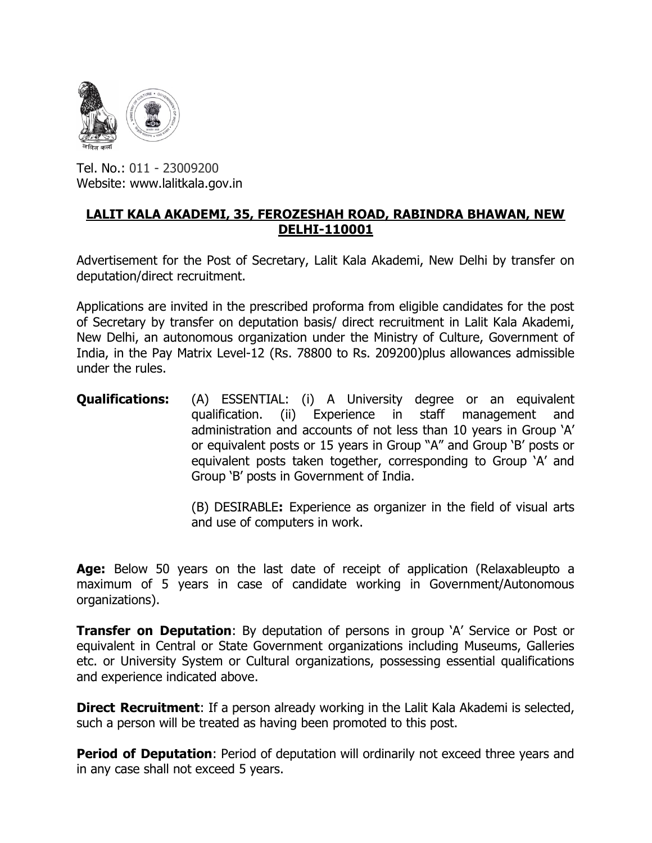

Tel. No.: 011 - 23009200 Website: www.lalitkala.gov.in

## LALIT KALA AKADEMI, 35, FEROZESHAH ROAD, RABINDRA BHAWAN, NEW DELHI-110001

Advertisement for the Post of Secretary, Lalit Kala Akademi, New Delhi by transfer on deputation/direct recruitment.

Applications are invited in the prescribed proforma from eligible candidates for the post of Secretary by transfer on deputation basis/ direct recruitment in Lalit Kala Akademi, New Delhi, an autonomous organization under the Ministry of Culture, Government of India, in the Pay Matrix Level-12 (Rs. 78800 to Rs. 209200)plus allowances admissible under the rules.

**Qualifications:** (A) ESSENTIAL: (i) A University degree or an equivalent qualification. (ii) Experience in staff management and administration and accounts of not less than 10 years in Group 'A' or equivalent posts or 15 years in Group "A" and Group 'B' posts or equivalent posts taken together, corresponding to Group 'A' and Group 'B' posts in Government of India.

> (B) DESIRABLE: Experience as organizer in the field of visual arts and use of computers in work.

Age: Below 50 years on the last date of receipt of application (Relaxableupto a maximum of 5 years in case of candidate working in Government/Autonomous organizations).

**Transfer on Deputation:** By deputation of persons in group 'A' Service or Post or equivalent in Central or State Government organizations including Museums, Galleries etc. or University System or Cultural organizations, possessing essential qualifications and experience indicated above.

**Direct Recruitment:** If a person already working in the Lalit Kala Akademi is selected, such a person will be treated as having been promoted to this post.

**Period of Deputation:** Period of deputation will ordinarily not exceed three years and in any case shall not exceed 5 years.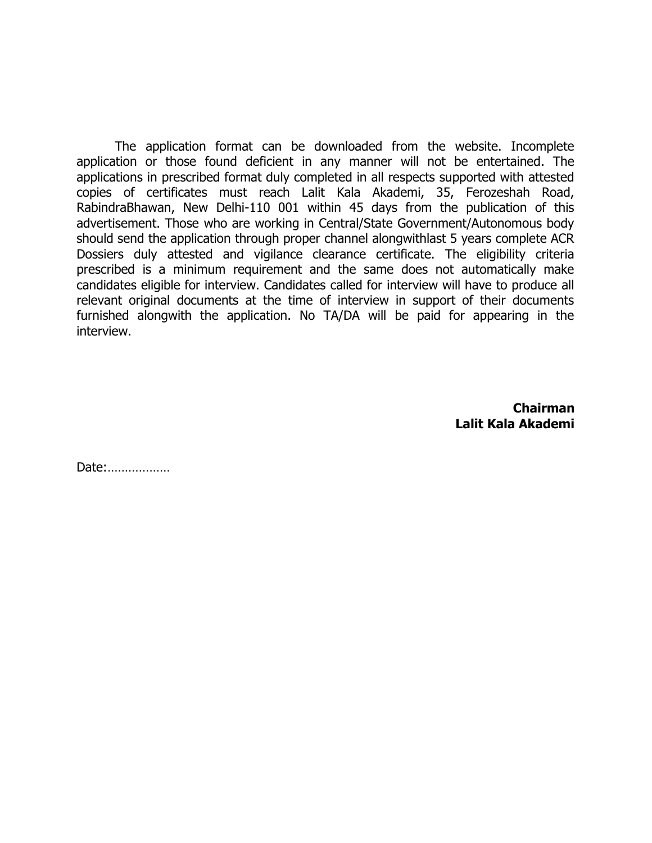The application format can be downloaded from the website. Incomplete application or those found deficient in any manner will not be entertained. The applications in prescribed format duly completed in all respects supported with attested copies of certificates must reach Lalit Kala Akademi, 35, Ferozeshah Road, RabindraBhawan, New Delhi-110 001 within 45 days from the publication of this advertisement. Those who are working in Central/State Government/Autonomous body should send the application through proper channel alongwithlast 5 years complete ACR Dossiers duly attested and vigilance clearance certificate. The eligibility criteria prescribed is a minimum requirement and the same does not automatically make candidates eligible for interview. Candidates called for interview will have to produce all relevant original documents at the time of interview in support of their documents furnished alongwith the application. No TA/DA will be paid for appearing in the interview.

> Chairman Lalit Kala Akademi

Date:………………